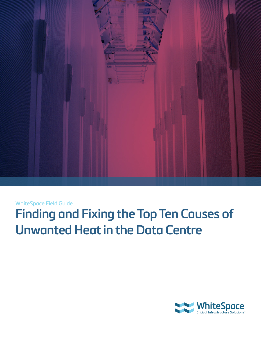

## WhiteSpace Field Guide

# **Finding and Fixing the Top Ten Causes of Unwanted Heat in the Data Centre**

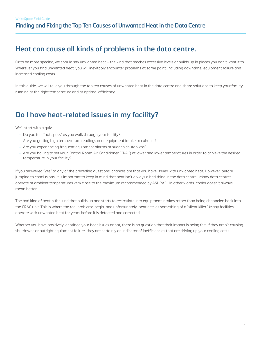# **Heat can cause all kinds of problems in the data centre.**

Or to be more specific, we should say unwanted heat – the kind that reaches excessive levels or builds up in places you don't want it to. Wherever you find unwanted heat, you will inevitably encounter problems at some point, including downtime, equipment failure and increased cooling costs.

In this guide, we will take you through the top ten causes of unwanted heat in the data centre and share solutions to keep your facility running at the right temperature and at optimal efficiency.

# **Do I have heat-related issues in my facility?**

We'll start with a quiz.

- Do you feel "hot spots" as you walk through your facility?
- Are you getting high temperature readings near equipment intake or exhaust?
- Are you experiencing frequent equipment alarms or sudden shutdowns?
- Are you having to set your Control Room Air Conditioner (CRAC) at lower and lower temperatures in order to achieve the desired temperature in your facility?

If you answered "yes" to any of the preceding questions, chances are that you have issues with unwanted heat. However, before jumping to conclusions, it is important to keep in mind that heat isn't always a bad thing in the data centre. Many data centres operate at ambient temperatures very close to the maximum recommended by ASHRAE . In other words, cooler doesn't always mean better.

The bad kind of heat is the kind that builds up and starts to recirculate into equipment intakes rather than being channeled back into the CRAC unit. This is where the real problems begin, and unfortunately, heat acts as something of a "silent killer". Many facilities operate with unwanted heat for years before it is detected and corrected.

Whether you have positively identified your heat issues or not, there is no question that their impact is being felt. If they aren't causing shutdowns or outright equipment failure, they are certainly an indicator of inefficiencies that are driving up your cooling costs.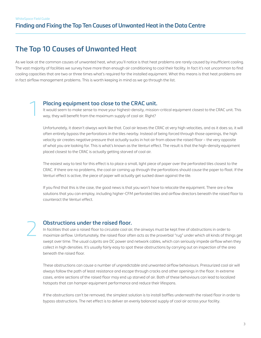# **The Top 10 Causes of Unwanted Heat**

As we look at the common causes of unwanted heat, what you'll notice is that heat problems are rarely caused by insufficient cooling. The vast majority of facilities we survey have more than enough air conditioning to cool their facility. In fact it's not uncommon to find cooling capacities that are two or three times what's required for the installed equipment. What this means is that heat problems are in fact airflow management problems. This is worth keeping in mind as we go through the list.

#### **Placing equipment too close to the CRAC unit.**

It would seem to make sense to move your highest-density, mission-critical equipment closest to the CRAC unit. This way, they will benefit from the maximum supply of cool air. Right?

Unfortunately, it doesn't always work like that. Cool air leaves the CRAC at very high velocities, and as it does so, it will often entirely bypass the perforations in the tiles nearby. Instead of being forced through those openings, the high velocity air creates negative pressure that actually sucks in hot air from above the raised floor – the very opposite of what you are looking for. This is what's known as the Venturi effect. The result is that the high-density equipment placed closest to the CRAC is actually getting starved of cool air.

The easiest way to test for this effect is to place a small, light piece of paper over the perforated tiles closest to the CRAC. If there are no problems, the cool air coming up through the perforations should cause the paper to float. If the Venturi effect is active, the piece of paper will actually get sucked down against the tile.

If you find that this is the case, the good news is that you won't have to relocate the equipment. There are a few solutions that you can employ, including higher-CFM perforated tiles and airflow directors beneath the raised floor to counteract the Venturi effect.

2

1

#### **Obstructions under the raised floor.**

In facilities that use a raised floor to circulate cool air, the airways must be kept free of obstructions in order to maximize airflow. Unfortunately, the raised floor often acts as the proverbial "rug" under which all kinds of things get swept over time. The usual culprits are DC power and network cables, which can seriously impede airflow when they collect in high densities. It's usually fairly easy to spot these obstructions by carrying out an inspection of the area beneath the raised floor.

These obstructions can cause a number of unpredictable and unwanted airflow behaviours. Pressurized cool air will always follow the path of least resistance and escape through cracks and other openings in the floor. In extreme cases, entire sections of the raised floor may end up starved of air. Both of these behaviours can lead to localized hotspots that can hamper equipment performance and reduce their lifespans.

If the obstructions can't be removed, the simplest solution is to install baffles underneath the raised floor in order to bypass obstructions. The net effect is to deliver an evenly balanced supply of cool air across your facility.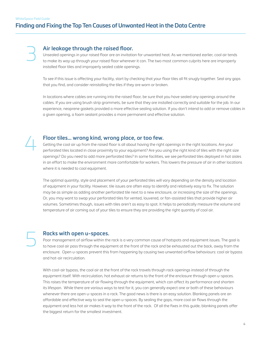## **Finding and Fixing the Top Ten Causes of Unwanted Heat in the Data Centre**

3

#### **Air leakage through the raised floor.**

Unsealed openings in your raised floor are an invitation for unwanted heat. As we mentioned earlier, cool air tends to make its way up through your raised floor wherever it can. The two most common culprits here are improperly installed floor tiles and improperly sealed cable openings.

To see if this issue is affecting your facility, start by checking that your floor tiles all fit snugly together. Seal any gaps that you find, and consider reinstalling the tiles if they are worn or broken.

In locations where cables are running into the raised floor, be sure that you have sealed any openings around the cables. If you are using brush strip grommets, be sure that they are installed correctly and suitable for the job. In our experience, neoprene gaskets provided a more effective sealing solution. If you don't intend to add or remove cables in a given opening, a foam sealant provides a more permanent and effective solution.



5

#### **Floor tiles… wrong kind, wrong place, or too few.**

Getting the cool air up from the raised floor is all about having the right openings in the right locations. Are your perforated tiles located in close proximity to your equipment? Are you using the right kind of tiles with the right size openings? Do you need to add more perforated tiles? In some facilities, we see perforated tiles deployed in hot aisles in an effort to make the environment more comfortable for workers. This lowers the pressure of air in other locations where it is needed to cool equipment.

The optimal quantity, style and placement of your perforated tiles will vary depending on the density and location of equipment in your facility. However, tile issues are often easy to identify and relatively easy to fix. The solution may be as simple as adding another perforated tile next to a new enclosure, or increasing the size of the openings. Or, you may want to swap your perforated tiles for vented, louvered, or fan-assisted tiles that provide higher air volumes. Sometimes though, issues with tiles aren't as easy to spot. It helps to periodically measure the volume and temperature of air coming out of your tiles to ensure they are providing the right quantity of cool air.

#### **Racks with open u-spaces.**

Poor management of airflow within the rack is a very common cause of hotspots and equipment issues. The goal is to have cool air pass through the equipment at the front of the rack and be exhausted out the back, away from the enclosure. Open u-spaces prevent this from happening by causing two unwanted airflow behaviours: cool air bypass and hot-air recirculation.

With cool-air bypass, the cool air at the front of the rack travels through rack openings instead of through the equipment itself. With recirculation, hot exhaust air returns to the front of the enclosure through open u-spaces. This raises the temperature of air flowing through the equipment, which can affect its performance and shorten its lifespan. While there are various ways to test for it, you can generally expect one or both of these behaviours whenever there are open u-spaces in a rack. The good news is there is an easy solution. Blanking panels are an affordable and effective way to seal the open u-spaces. By sealing the gaps, more cool air flows through the equipment and less hot air makes it way to the front of the rack. Of all the fixes in this guide, blanking panels offer the biggest return for the smallest investment.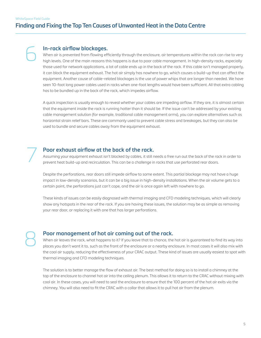6

## **Finding and Fixing the Top Ten Causes of Unwanted Heat in the Data Centre**

#### **In-rack airflow blockages.**

When air is prevented from flowing efficiently through the enclosure, air temperatures within the rack can rise to very high levels. One of the main reasons this happens is due to poor cable management. In high-density racks, especially those used for network applications, a lot of cable ends up in the back of the rack. If this cable isn't managed properly, it can block the equipment exhaust. The hot air simply has nowhere to go, which causes a build-up that can affect the equipment. Another cause of cable-related blockages is the use of power whips that are longer than needed. We have seen 10-foot long power cables used in racks when one-foot lengths would have been sufficient. All that extra cabling has to be bundled up in the back of the rack, which impedes airflow.

A quick inspection is usually enough to reveal whether your cables are impeding airflow. If they are, it is almost certain that the equipment inside the rack is running hotter than it should be. If the issue can't be addressed by your existing cable management solution (for example, traditional cable management arms), you can explore alternatives such as horizontal strain relief bars. These are commonly used to prevent cable stress and breakages, but they can also be used to bundle and secure cables away from the equipment exhaust.

#### **Poor exhaust airflow at the back of the rack.**

Assuming your equipment exhaust isn't blocked by cables, it still needs a free run out the back of the rack in order to prevent heat build-up and recirculation. This can be a challenge in racks that use perforated rear doors.

Despite the perforations, rear doors still impede airflow to some extent. This partial blockage may not have a huge impact in low-density scenarios, but it can be a big issue in high-density installations. When the air volume gets to a certain point, the perforations just can't cope, and the air is once again left with nowhere to go.

These kinds of issues can be easily diagnosed with thermal imaging and CFD modeling techniques, which will clearly show any hotspots in the rear of the rack. If you are having these issues, the solution may be as simple as removing your rear door, or replacing it with one that has larger perforations.

8

7

#### **Poor management of hot air coming out of the rack.**

When air leaves the rack, what happens to it? If you leave that to chance, the hot air is guaranteed to find its way into places you don't want it to, such as the front of the enclosure or a nearby enclosure. In most cases it will also mix with the cool air supply, reducing the effectiveness of your CRAC output. These kind of issues are usually easiest to spot with thermal imaging and CFD modeling techniques.

The solution is to better manage the flow of exhaust air. The best method for doing so is to install a chimney at the top of the enclosure to channel hot air into the ceiling plenum. This allows it to return to the CRAC without mixing with cool air. In these cases, you will need to seal the enclosure to ensure that the 100 percent of the hot air exits via the chimney. You will also need to fit the CRAC with a collar that allows it to pull hot air from the plenum.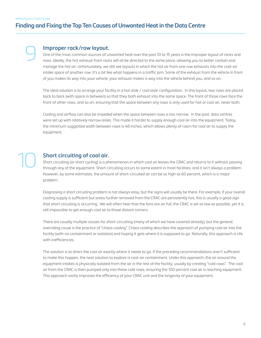9

10

## **Finding and Fixing the Top Ten Causes of Unwanted Heat in the Data Centre**

#### **Improper rack/row layout.**

One of the most common sources of unwanted heat over the past 10 to 15 years is the improper layout of racks and rows. Ideally, the hot exhaust from racks will all be directed to the same place, allowing you to better contain and manage the hot air. Unfortunately, we still see layouts in which the hot air from one row exhausts into the cool-air intake space of another row. It's a bit like what happens in a traffic jam. Some of the exhaust from the vehicle in front of you makes its way into your vehicle; your exhaust makes is way into the vehicle behind you, and so on.

The ideal solution is to arrange your facility in a hot aisle / cool aisle configuration. In this layout, two rows are placed back to back (with space in between) so that they both exhaust into the same space. The front of those rows face the front of other rows, and so on, ensuring that the space between any rows is only used for hot or cool air, never both.

Cooling and airflow can also be impeded when the space between rows is too narrow. In the past, data centres were set up with relatively narrow aisles. This made it harder to supply enough cool air into the equipment. Today, the minimum suggested width between rows is 48 inches, which allows plenty of room for cool air to supply the equipment.

## **Short circuiting of cool air.**

Short circuiting (or short cycling) is a phenomenon in which cool air leaves the CRAC and returns to it without passing through any of the equipment. Short-circuiting occurs to some extent in most facilities, and it isn't always a problem. However, by some estimates, the amount of short-circuited air can be as high as 60 percent, which is a major problem.

Diagnosing a short circuiting problem is not always easy, but the signs will usually be there. For example, if your overall cooling supply is sufficient but areas further removed from the CRAC are persistently hot, this is usually a good sign that short circuiting is occurring. We will often hear that the fans are on full, the CRAC is set as low as possible, yet it is still impossible to get enough cool air to those distant corners.

There are usually multiple causes for short-circuiting (many of which we have covered already), but the general, overriding cause is the practice of "chaos cooling". Chaos cooling describes the approach of pumping cool air into the facility (with no containment or isolation) and hoping it gets where it is supposed to go. Naturally, this approach is rife with inefficiencies.

The solution is to direct the cool air exactly where it needs to go. If the preceding recommendations aren't sufficient to make this happen, the next solution to explore is cool-air containment. Under this approach, the air around the equipment intakes is physically isolated from the air in the rest of the facility, usually by creating "cold rows". The cool air from the CRAC is then pumped only into these cold rows, ensuring the 100 percent cool air is reaching equipment. This approach vastly improves the efficiency of your CRAC unit and the longevity of your equipment.